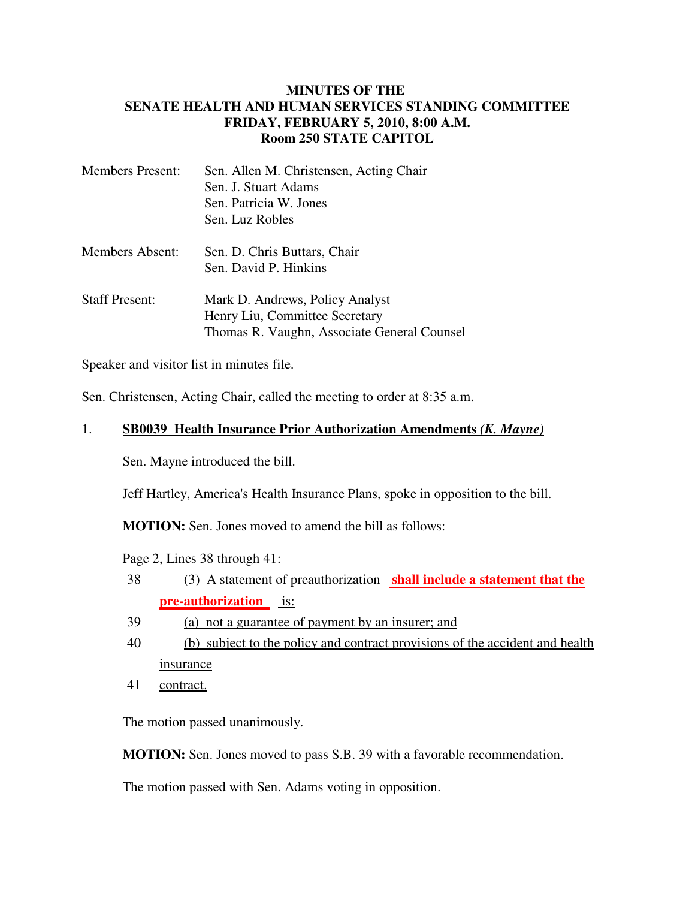## **MINUTES OF THE SENATE HEALTH AND HUMAN SERVICES STANDING COMMITTEE FRIDAY, FEBRUARY 5, 2010, 8:00 A.M. Room 250 STATE CAPITOL**

| <b>Members Present:</b> | Sen. Allen M. Christensen, Acting Chair     |
|-------------------------|---------------------------------------------|
|                         | Sen. J. Stuart Adams                        |
|                         | Sen. Patricia W. Jones                      |
|                         | Sen. Luz Robles                             |
| Members Absent:         | Sen. D. Chris Buttars, Chair                |
|                         | Sen. David P. Hinkins                       |
| <b>Staff Present:</b>   | Mark D. Andrews, Policy Analyst             |
|                         | Henry Liu, Committee Secretary              |
|                         | Thomas R. Vaughn, Associate General Counsel |

Speaker and visitor list in minutes file.

Sen. Christensen, Acting Chair, called the meeting to order at 8:35 a.m.

## 1. **SB0039 Health Insurance Prior Authorization Amendments** *(K. Mayne)*

Sen. Mayne introduced the bill.

Jeff Hartley, America's Health Insurance Plans, spoke in opposition to the bill.

**MOTION:** Sen. Jones moved to amend the bill as follows:

Page 2, Lines 38 through 41:

- 38 (3) A statement of preauthorization **shall include a statement that the pre-authorization** is:
- 39 (a) not a guarantee of payment by an insurer; and
- 40 (b) subject to the policy and contract provisions of the accident and health insurance
- 41 contract.

The motion passed unanimously.

**MOTION:** Sen. Jones moved to pass S.B. 39 with a favorable recommendation.

The motion passed with Sen. Adams voting in opposition.